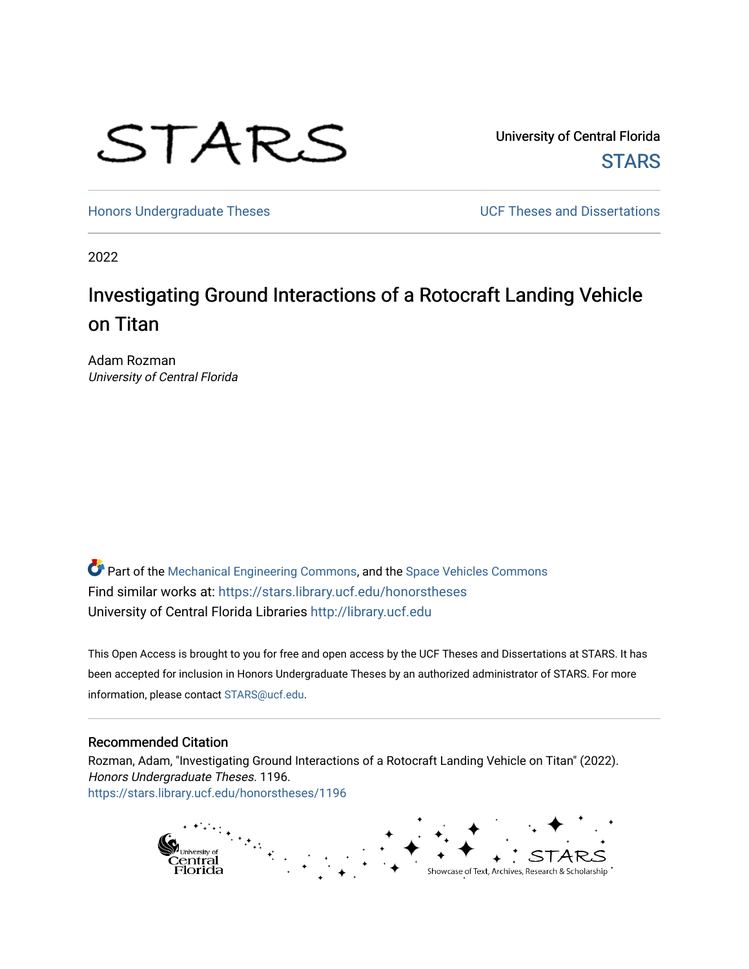

University of Central Florida **STARS** 

[Honors Undergraduate Theses](https://stars.library.ucf.edu/honorstheses) **Exercise 2018** UCF Theses and Dissertations

2022

# Investigating Ground Interactions of a Rotocraft Landing Vehicle on Titan

Adam Rozman University of Central Florida

*O* Part of the [Mechanical Engineering Commons,](https://network.bepress.com/hgg/discipline/293?utm_source=stars.library.ucf.edu%2Fhonorstheses%2F1196&utm_medium=PDF&utm_campaign=PDFCoverPages) and the Space Vehicles Commons Find similar works at: <https://stars.library.ucf.edu/honorstheses> University of Central Florida Libraries [http://library.ucf.edu](http://library.ucf.edu/) 

This Open Access is brought to you for free and open access by the UCF Theses and Dissertations at STARS. It has been accepted for inclusion in Honors Undergraduate Theses by an authorized administrator of STARS. For more information, please contact [STARS@ucf.edu.](mailto:STARS@ucf.edu)

#### Recommended Citation

Rozman, Adam, "Investigating Ground Interactions of a Rotocraft Landing Vehicle on Titan" (2022). Honors Undergraduate Theses. 1196. [https://stars.library.ucf.edu/honorstheses/1196](https://stars.library.ucf.edu/honorstheses/1196?utm_source=stars.library.ucf.edu%2Fhonorstheses%2F1196&utm_medium=PDF&utm_campaign=PDFCoverPages)

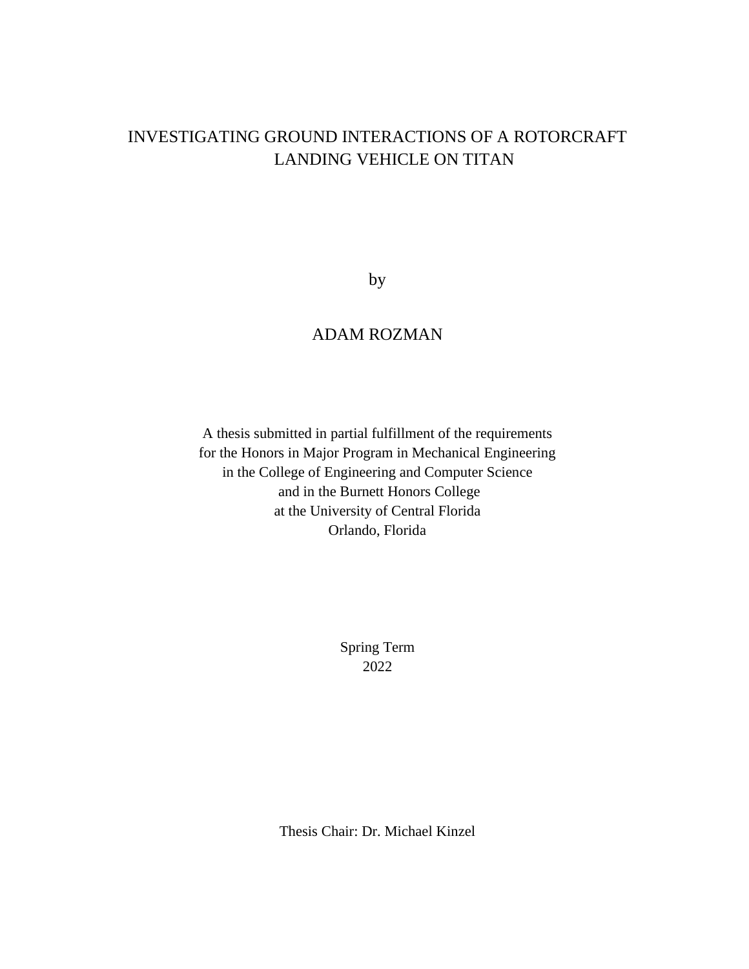# INVESTIGATING GROUND INTERACTIONS OF A ROTORCRAFT LANDING VEHICLE ON TITAN

by

### ADAM ROZMAN

A thesis submitted in partial fulfillment of the requirements for the Honors in Major Program in Mechanical Engineering in the College of Engineering and Computer Science and in the Burnett Honors College at the University of Central Florida Orlando, Florida

> Spring Term 2022

Thesis Chair: Dr. Michael Kinzel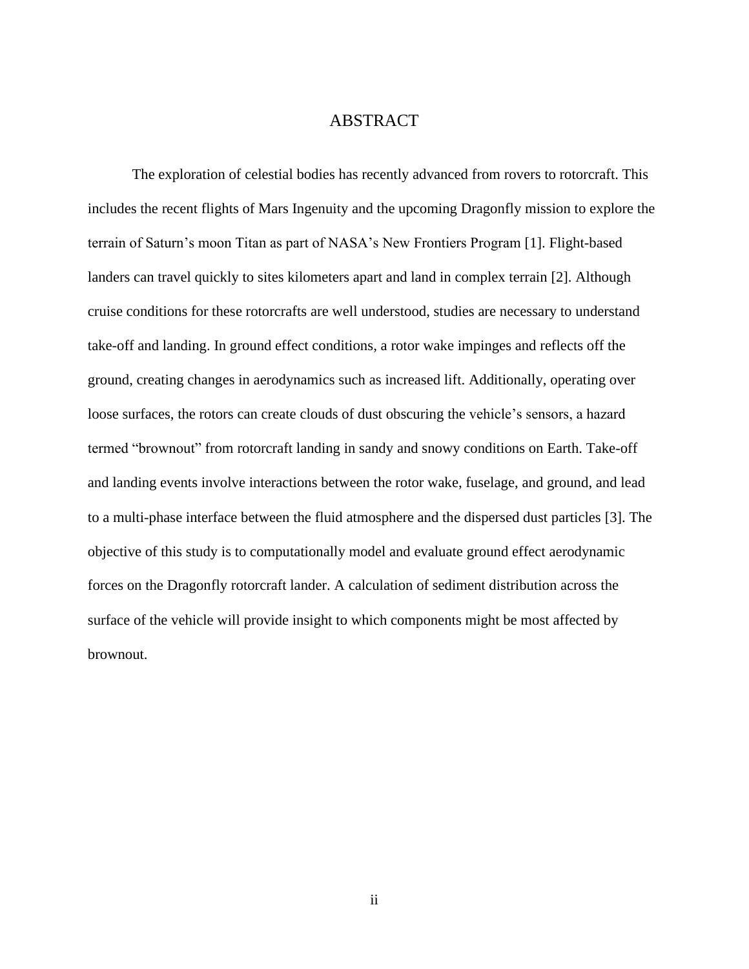### ABSTRACT

The exploration of celestial bodies has recently advanced from rovers to rotorcraft. This includes the recent flights of Mars Ingenuity and the upcoming Dragonfly mission to explore the terrain of Saturn's moon Titan as part of NASA's New Frontiers Program [1]. Flight-based landers can travel quickly to sites kilometers apart and land in complex terrain [2]. Although cruise conditions for these rotorcrafts are well understood, studies are necessary to understand take-off and landing. In ground effect conditions, a rotor wake impinges and reflects off the ground, creating changes in aerodynamics such as increased lift. Additionally, operating over loose surfaces, the rotors can create clouds of dust obscuring the vehicle's sensors, a hazard termed "brownout" from rotorcraft landing in sandy and snowy conditions on Earth. Take-off and landing events involve interactions between the rotor wake, fuselage, and ground, and lead to a multi-phase interface between the fluid atmosphere and the dispersed dust particles [3]. The objective of this study is to computationally model and evaluate ground effect aerodynamic forces on the Dragonfly rotorcraft lander. A calculation of sediment distribution across the surface of the vehicle will provide insight to which components might be most affected by brownout.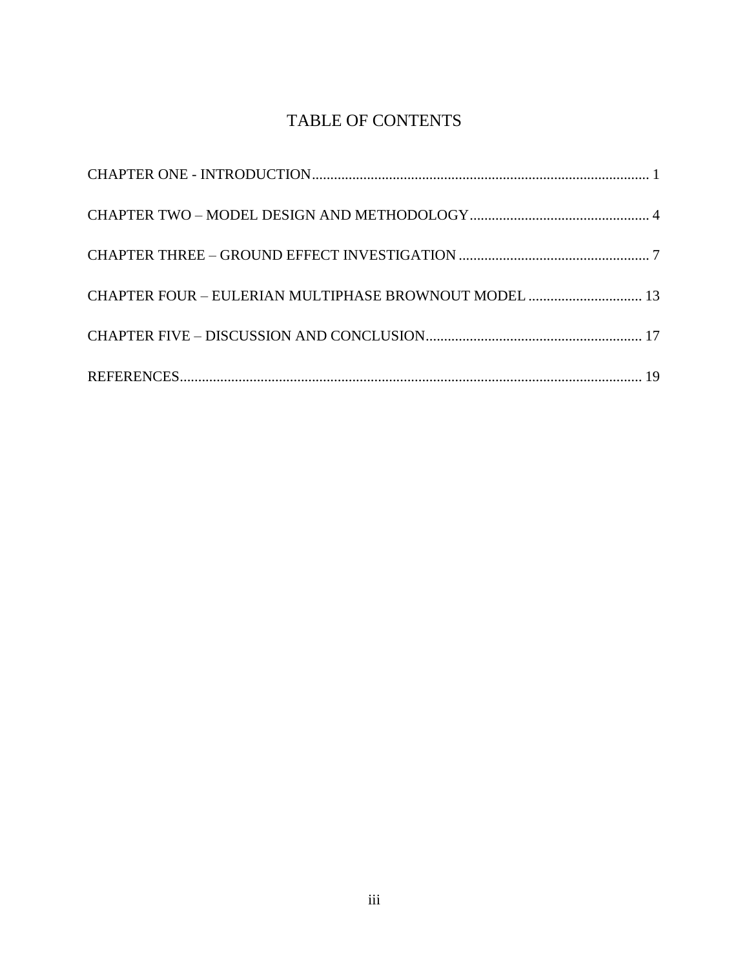# TABLE OF CONTENTS

| CHAPTER FOUR - EULERIAN MULTIPHASE BROWNOUT MODEL  13 |  |
|-------------------------------------------------------|--|
|                                                       |  |
|                                                       |  |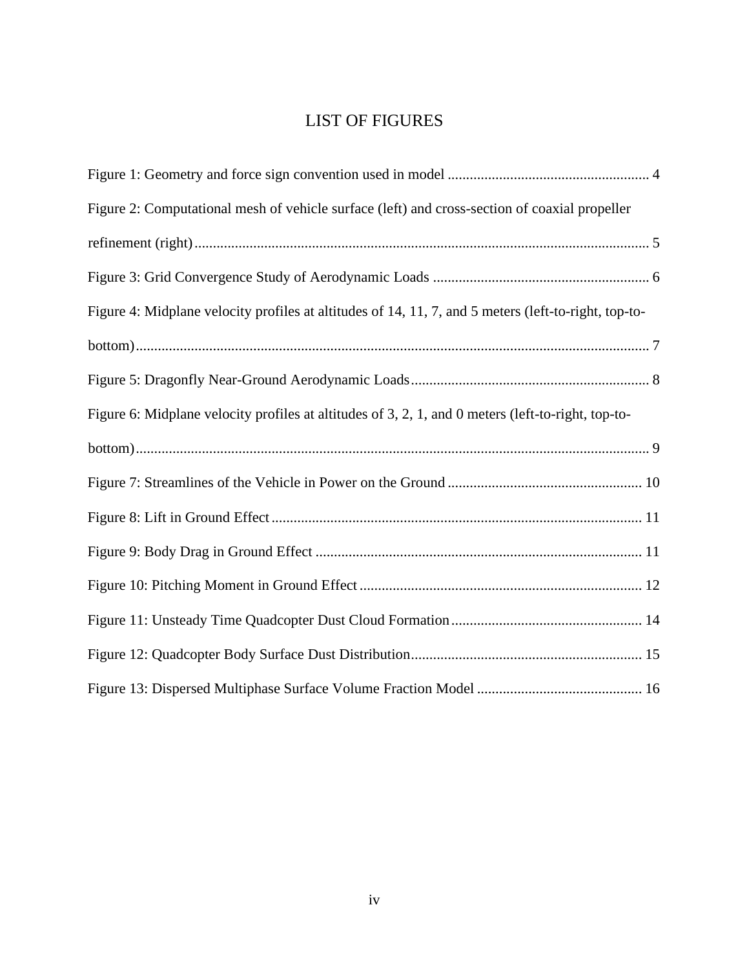# LIST OF FIGURES

| Figure 2: Computational mesh of vehicle surface (left) and cross-section of coaxial propeller        |
|------------------------------------------------------------------------------------------------------|
|                                                                                                      |
|                                                                                                      |
| Figure 4: Midplane velocity profiles at altitudes of 14, 11, 7, and 5 meters (left-to-right, top-to- |
|                                                                                                      |
|                                                                                                      |
| Figure 6: Midplane velocity profiles at altitudes of 3, 2, 1, and 0 meters (left-to-right, top-to-   |
|                                                                                                      |
|                                                                                                      |
|                                                                                                      |
|                                                                                                      |
|                                                                                                      |
|                                                                                                      |
|                                                                                                      |
|                                                                                                      |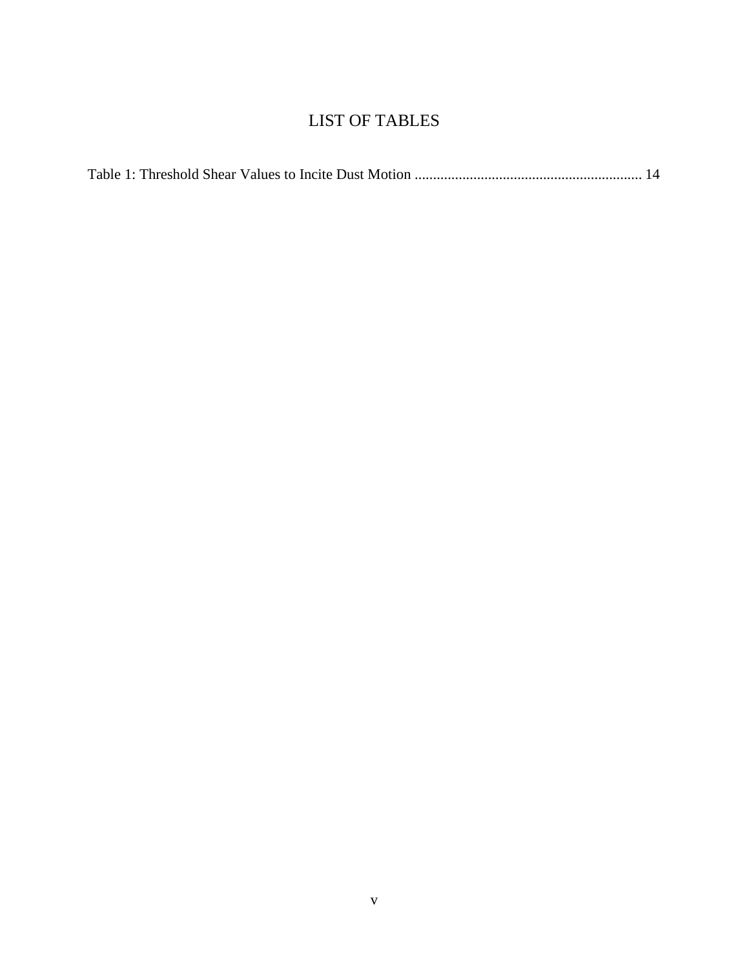# LIST OF TABLES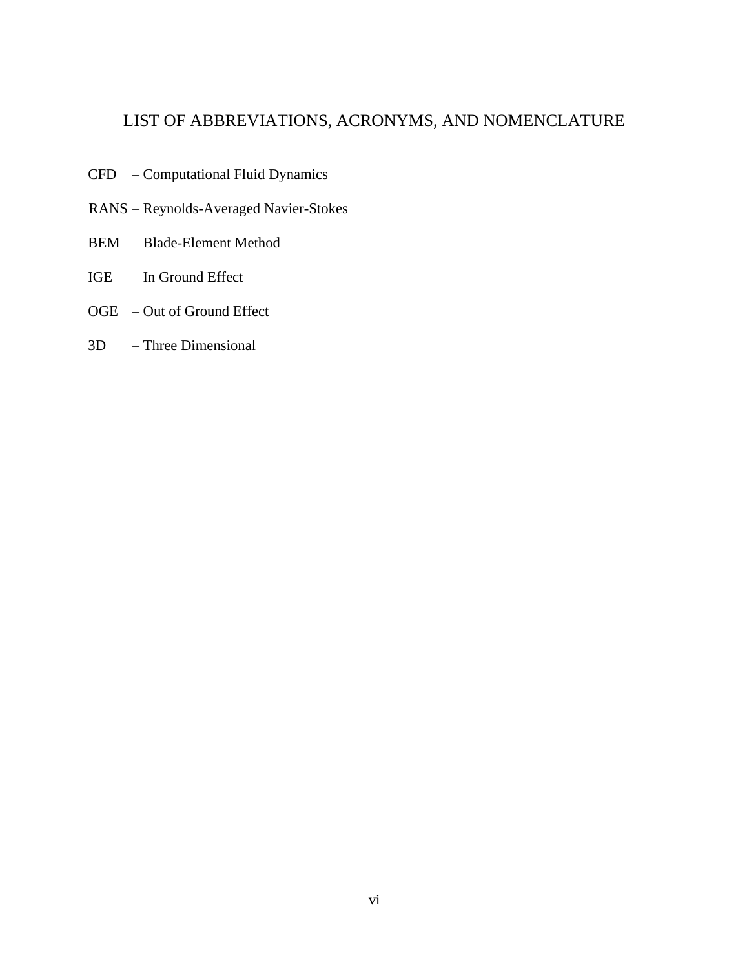### LIST OF ABBREVIATIONS, ACRONYMS, AND NOMENCLATURE

- CFD Computational Fluid Dynamics
- RANS Reynolds-Averaged Navier-Stokes
- BEM Blade-Element Method
- IGE In Ground Effect
- OGE Out of Ground Effect
- 3D Three Dimensional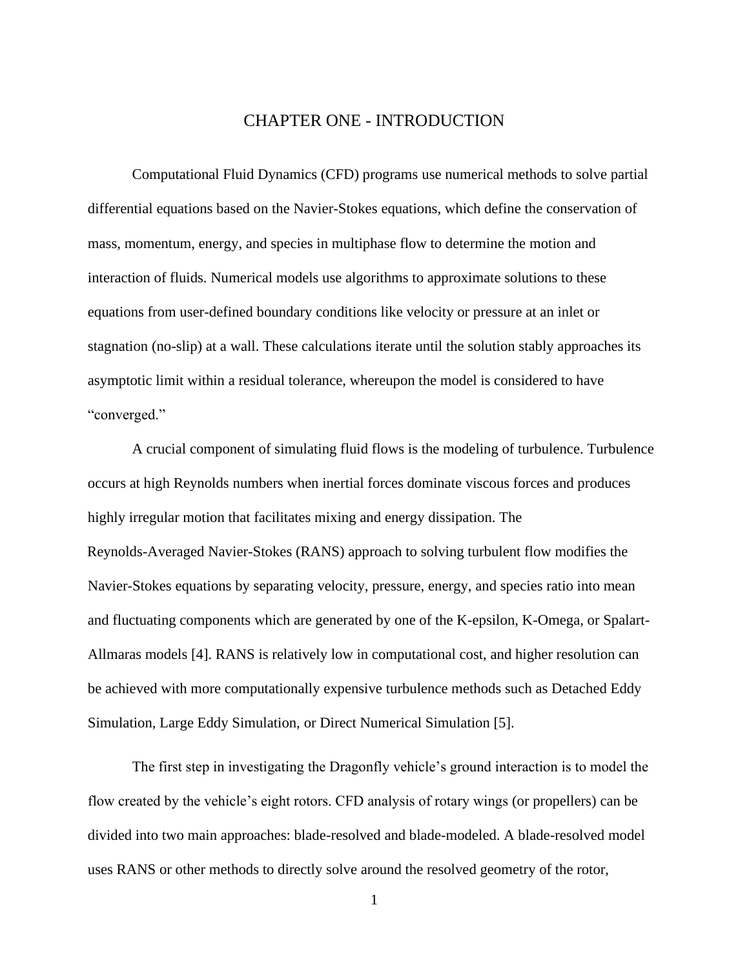### CHAPTER ONE - INTRODUCTION

<span id="page-7-0"></span>Computational Fluid Dynamics (CFD) programs use numerical methods to solve partial differential equations based on the Navier-Stokes equations, which define the conservation of mass, momentum, energy, and species in multiphase flow to determine the motion and interaction of fluids. Numerical models use algorithms to approximate solutions to these equations from user-defined boundary conditions like velocity or pressure at an inlet or stagnation (no-slip) at a wall. These calculations iterate until the solution stably approaches its asymptotic limit within a residual tolerance, whereupon the model is considered to have "converged."

A crucial component of simulating fluid flows is the modeling of turbulence. Turbulence occurs at high Reynolds numbers when inertial forces dominate viscous forces and produces highly irregular motion that facilitates mixing and energy dissipation. The Reynolds-Averaged Navier-Stokes (RANS) approach to solving turbulent flow modifies the Navier-Stokes equations by separating velocity, pressure, energy, and species ratio into mean and fluctuating components which are generated by one of the K-epsilon, K-Omega, or Spalart-Allmaras models [4]. RANS is relatively low in computational cost, and higher resolution can be achieved with more computationally expensive turbulence methods such as Detached Eddy Simulation, Large Eddy Simulation, or Direct Numerical Simulation [5].

The first step in investigating the Dragonfly vehicle's ground interaction is to model the flow created by the vehicle's eight rotors. CFD analysis of rotary wings (or propellers) can be divided into two main approaches: blade-resolved and blade-modeled. A blade-resolved model uses RANS or other methods to directly solve around the resolved geometry of the rotor,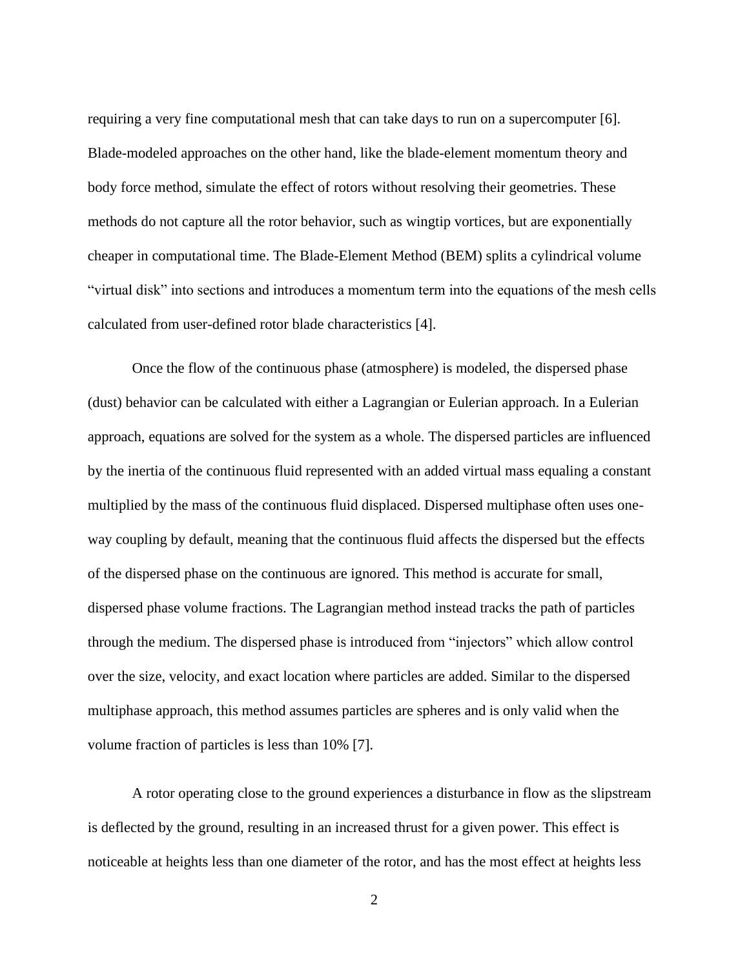requiring a very fine computational mesh that can take days to run on a supercomputer [6]. Blade-modeled approaches on the other hand, like the blade-element momentum theory and body force method, simulate the effect of rotors without resolving their geometries. These methods do not capture all the rotor behavior, such as wingtip vortices, but are exponentially cheaper in computational time. The Blade-Element Method (BEM) splits a cylindrical volume "virtual disk" into sections and introduces a momentum term into the equations of the mesh cells calculated from user-defined rotor blade characteristics [4].

Once the flow of the continuous phase (atmosphere) is modeled, the dispersed phase (dust) behavior can be calculated with either a Lagrangian or Eulerian approach. In a Eulerian approach, equations are solved for the system as a whole. The dispersed particles are influenced by the inertia of the continuous fluid represented with an added virtual mass equaling a constant multiplied by the mass of the continuous fluid displaced. Dispersed multiphase often uses oneway coupling by default, meaning that the continuous fluid affects the dispersed but the effects of the dispersed phase on the continuous are ignored. This method is accurate for small, dispersed phase volume fractions. The Lagrangian method instead tracks the path of particles through the medium. The dispersed phase is introduced from "injectors" which allow control over the size, velocity, and exact location where particles are added. Similar to the dispersed multiphase approach, this method assumes particles are spheres and is only valid when the volume fraction of particles is less than 10% [7].

A rotor operating close to the ground experiences a disturbance in flow as the slipstream is deflected by the ground, resulting in an increased thrust for a given power. This effect is noticeable at heights less than one diameter of the rotor, and has the most effect at heights less

2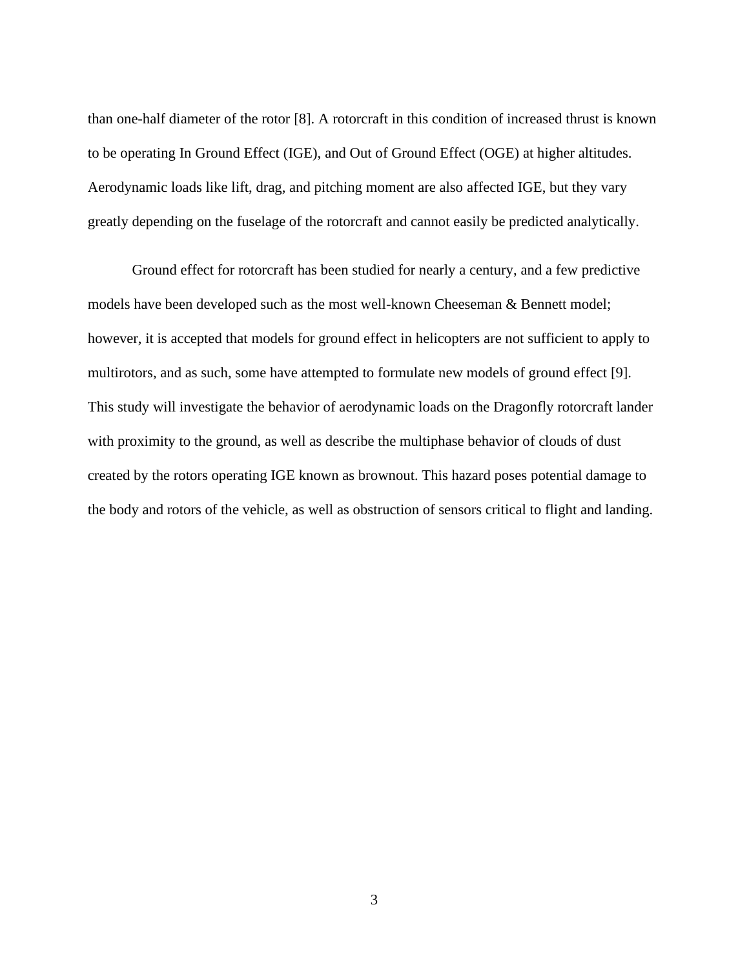than one-half diameter of the rotor [8]. A rotorcraft in this condition of increased thrust is known to be operating In Ground Effect (IGE), and Out of Ground Effect (OGE) at higher altitudes. Aerodynamic loads like lift, drag, and pitching moment are also affected IGE, but they vary greatly depending on the fuselage of the rotorcraft and cannot easily be predicted analytically.

Ground effect for rotorcraft has been studied for nearly a century, and a few predictive models have been developed such as the most well-known Cheeseman & Bennett model; however, it is accepted that models for ground effect in helicopters are not sufficient to apply to multirotors, and as such, some have attempted to formulate new models of ground effect [9]. This study will investigate the behavior of aerodynamic loads on the Dragonfly rotorcraft lander with proximity to the ground, as well as describe the multiphase behavior of clouds of dust created by the rotors operating IGE known as brownout. This hazard poses potential damage to the body and rotors of the vehicle, as well as obstruction of sensors critical to flight and landing.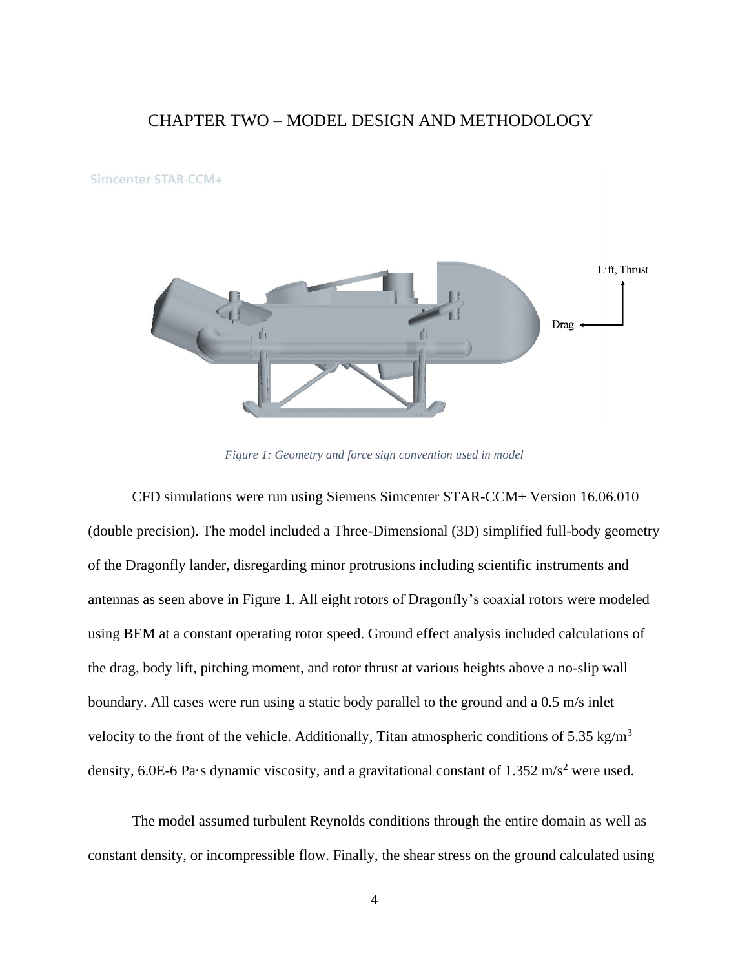### <span id="page-10-0"></span>CHAPTER TWO – MODEL DESIGN AND METHODOLOGY

Simcenter STAR-CCM+



*Figure 1: Geometry and force sign convention used in model*

<span id="page-10-1"></span>CFD simulations were run using Siemens Simcenter STAR-CCM+ Version 16.06.010 (double precision). The model included a Three-Dimensional (3D) simplified full-body geometry of the Dragonfly lander, disregarding minor protrusions including scientific instruments and antennas as seen above in [Figure 1.](#page-10-1) All eight rotors of Dragonfly's coaxial rotors were modeled using BEM at a constant operating rotor speed. Ground effect analysis included calculations of the drag, body lift, pitching moment, and rotor thrust at various heights above a no-slip wall boundary. All cases were run using a static body parallel to the ground and a 0.5 m/s inlet velocity to the front of the vehicle. Additionally, Titan atmospheric conditions of 5.35 kg/m<sup>3</sup> density, 6.0E-6 Pa·s dynamic viscosity, and a gravitational constant of 1.352 m/s<sup>2</sup> were used.

The model assumed turbulent Reynolds conditions through the entire domain as well as constant density, or incompressible flow. Finally, the shear stress on the ground calculated using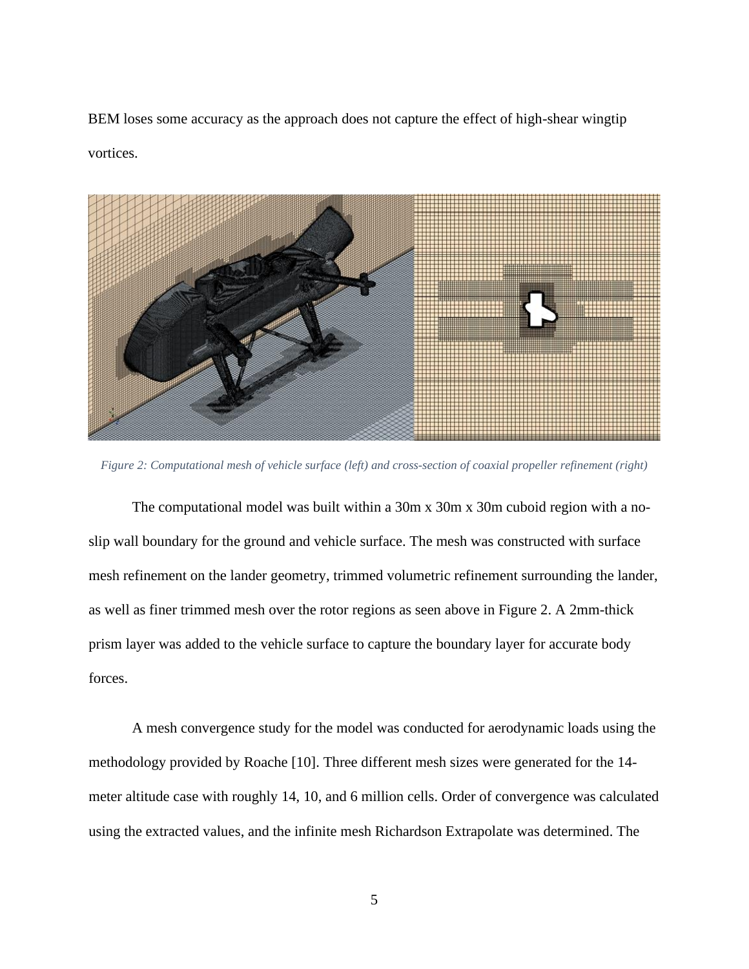BEM loses some accuracy as the approach does not capture the effect of high-shear wingtip vortices.



*Figure 2: Computational mesh of vehicle surface (left) and cross-section of coaxial propeller refinement (right)*

<span id="page-11-0"></span>The computational model was built within a 30m x 30m x 30m cuboid region with a noslip wall boundary for the ground and vehicle surface. The mesh was constructed with surface mesh refinement on the lander geometry, trimmed volumetric refinement surrounding the lander, as well as finer trimmed mesh over the rotor regions as seen above in [Figure 2.](#page-11-0) A 2mm-thick prism layer was added to the vehicle surface to capture the boundary layer for accurate body forces.

A mesh convergence study for the model was conducted for aerodynamic loads using the methodology provided by Roache [10]. Three different mesh sizes were generated for the 14 meter altitude case with roughly 14, 10, and 6 million cells. Order of convergence was calculated using the extracted values, and the infinite mesh Richardson Extrapolate was determined. The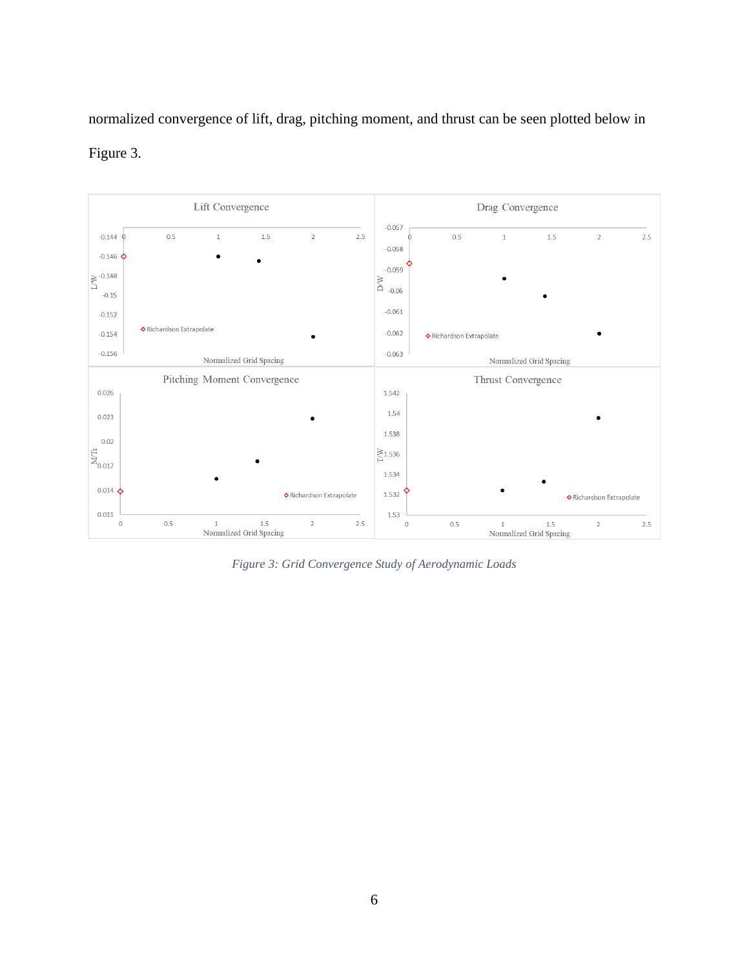normalized convergence of lift, drag, pitching moment, and thrust can be seen plotted below in





<span id="page-12-0"></span>*Figure 3: Grid Convergence Study of Aerodynamic Loads*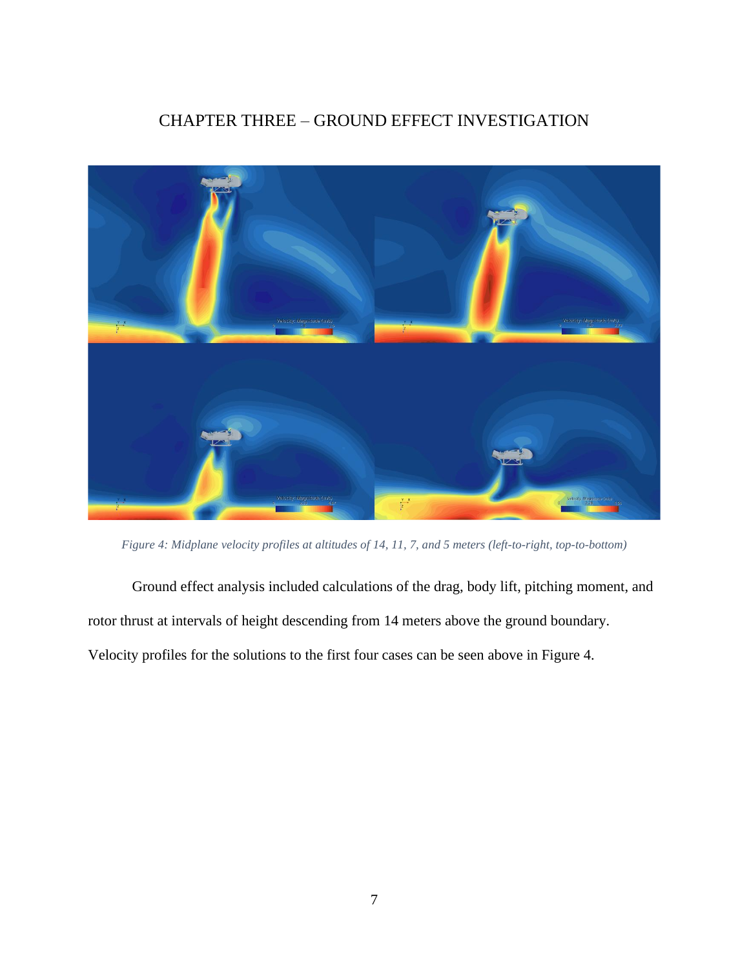### CHAPTER THREE – GROUND EFFECT INVESTIGATION

<span id="page-13-0"></span>

*Figure 4: Midplane velocity profiles at altitudes of 14, 11, 7, and 5 meters (left-to-right, top-to-bottom)*

<span id="page-13-1"></span>Ground effect analysis included calculations of the drag, body lift, pitching moment, and rotor thrust at intervals of height descending from 14 meters above the ground boundary. Velocity profiles for the solutions to the first four cases can be seen above in [Figure 4.](#page-13-1)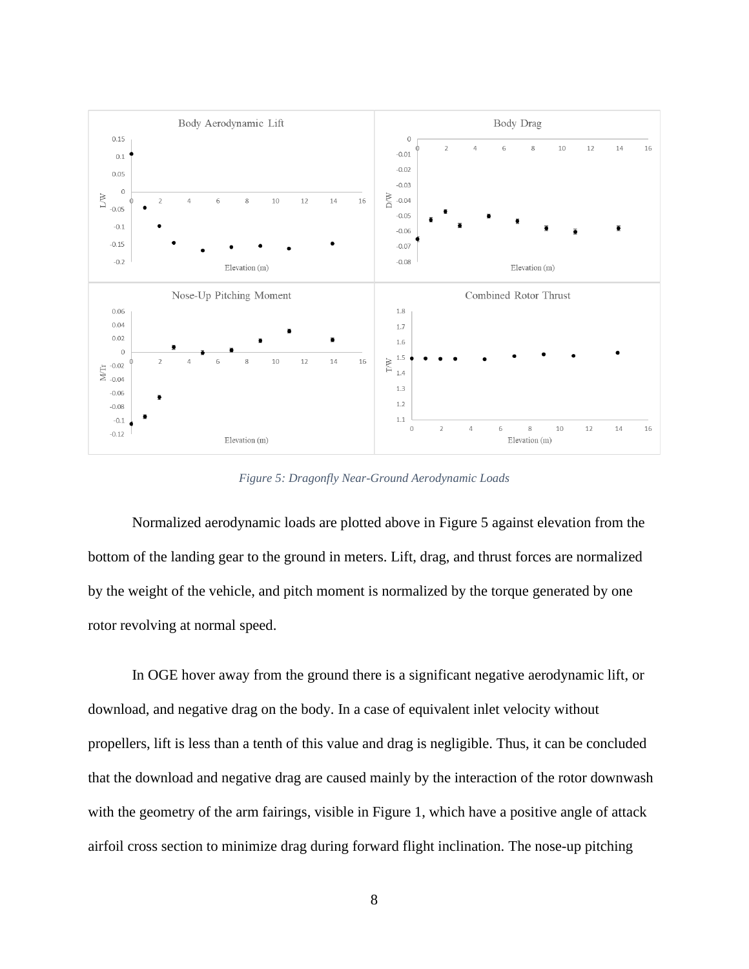

*Figure 5: Dragonfly Near-Ground Aerodynamic Loads*

<span id="page-14-0"></span>Normalized aerodynamic loads are plotted above in [Figure 5](#page-14-0) against elevation from the bottom of the landing gear to the ground in meters. Lift, drag, and thrust forces are normalized by the weight of the vehicle, and pitch moment is normalized by the torque generated by one rotor revolving at normal speed.

In OGE hover away from the ground there is a significant negative aerodynamic lift, or download, and negative drag on the body. In a case of equivalent inlet velocity without propellers, lift is less than a tenth of this value and drag is negligible. Thus, it can be concluded that the download and negative drag are caused mainly by the interaction of the rotor downwash with the geometry of the arm fairings, visible in [Figure 1,](#page-10-1) which have a positive angle of attack airfoil cross section to minimize drag during forward flight inclination. The nose-up pitching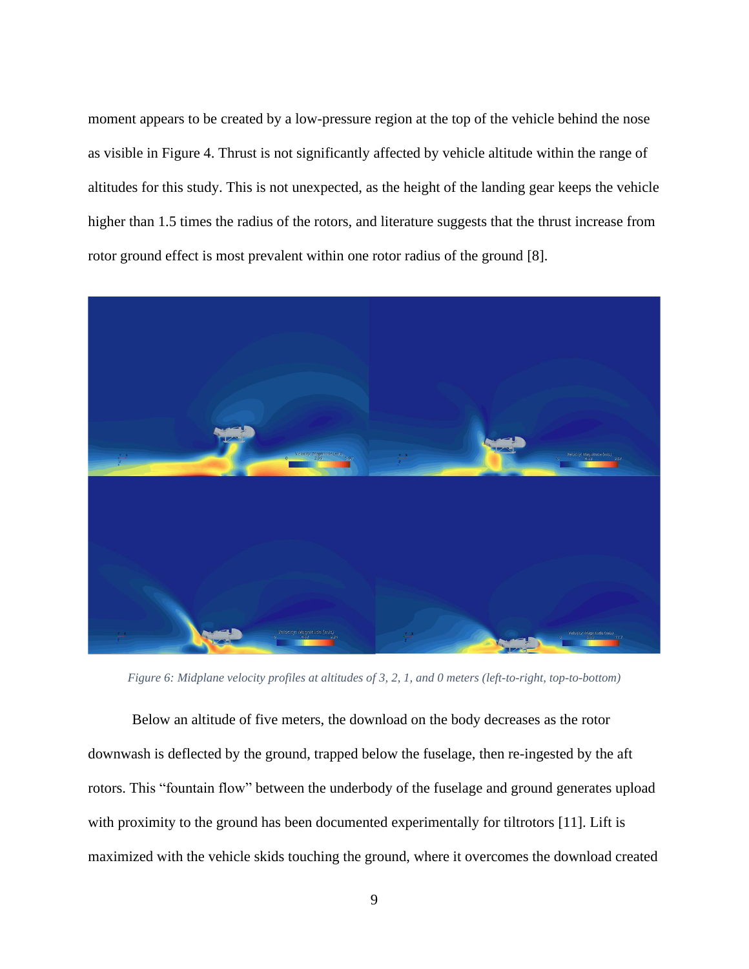moment appears to be created by a low-pressure region at the top of the vehicle behind the nose as visible in [Figure 4.](#page-13-1) Thrust is not significantly affected by vehicle altitude within the range of altitudes for this study. This is not unexpected, as the height of the landing gear keeps the vehicle higher than 1.5 times the radius of the rotors, and literature suggests that the thrust increase from rotor ground effect is most prevalent within one rotor radius of the ground [8].



*Figure 6: Midplane velocity profiles at altitudes of 3, 2, 1, and 0 meters (left-to-right, top-to-bottom)*

<span id="page-15-0"></span>Below an altitude of five meters, the download on the body decreases as the rotor downwash is deflected by the ground, trapped below the fuselage, then re-ingested by the aft rotors. This "fountain flow" between the underbody of the fuselage and ground generates upload with proximity to the ground has been documented experimentally for tiltrotors [11]. Lift is maximized with the vehicle skids touching the ground, where it overcomes the download created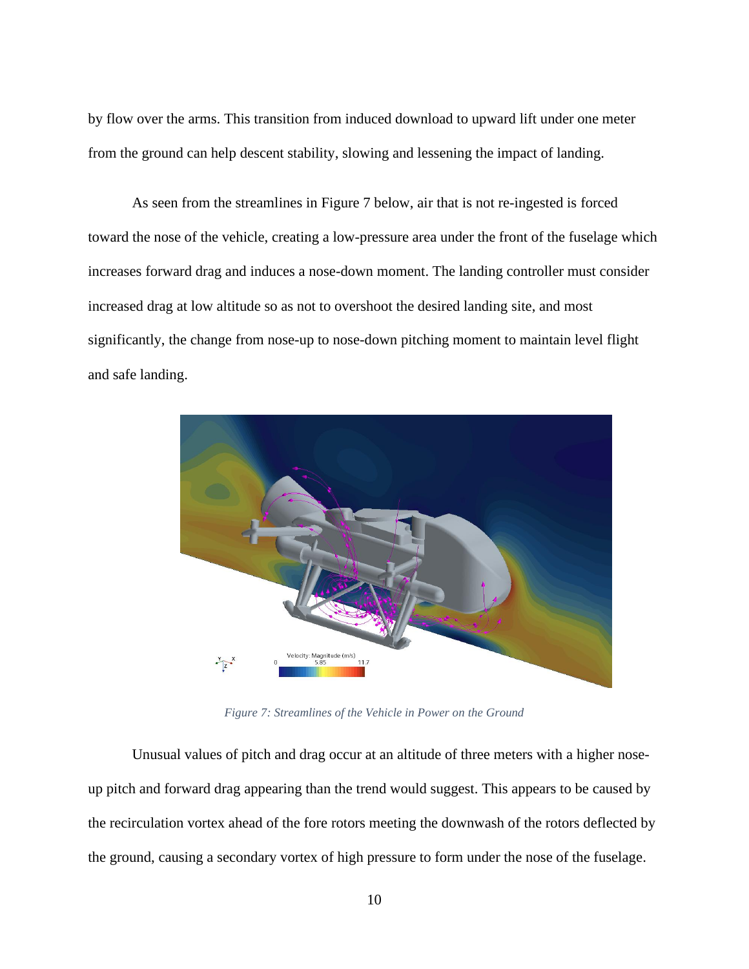by flow over the arms. This transition from induced download to upward lift under one meter from the ground can help descent stability, slowing and lessening the impact of landing.

As seen from the streamlines in [Figure 7](#page-16-0) below, air that is not re-ingested is forced toward the nose of the vehicle, creating a low-pressure area under the front of the fuselage which increases forward drag and induces a nose-down moment. The landing controller must consider increased drag at low altitude so as not to overshoot the desired landing site, and most significantly, the change from nose-up to nose-down pitching moment to maintain level flight and safe landing.



*Figure 7: Streamlines of the Vehicle in Power on the Ground*

<span id="page-16-0"></span>Unusual values of pitch and drag occur at an altitude of three meters with a higher noseup pitch and forward drag appearing than the trend would suggest. This appears to be caused by the recirculation vortex ahead of the fore rotors meeting the downwash of the rotors deflected by the ground, causing a secondary vortex of high pressure to form under the nose of the fuselage.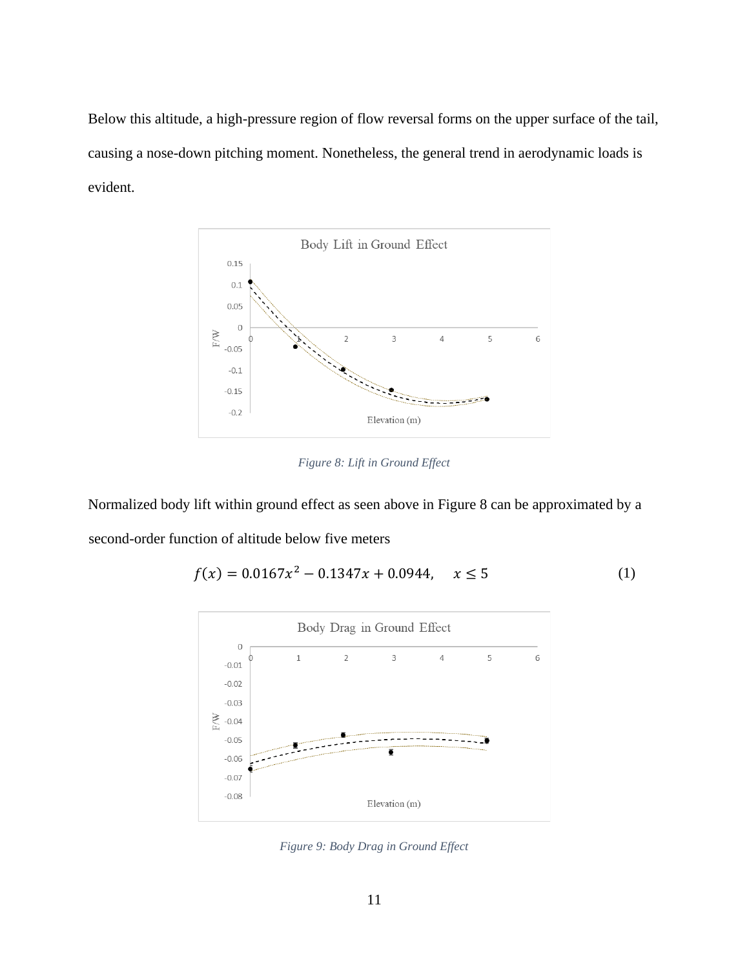Below this altitude, a high-pressure region of flow reversal forms on the upper surface of the tail, causing a nose-down pitching moment. Nonetheless, the general trend in aerodynamic loads is evident.



*Figure 8: Lift in Ground Effect*

<span id="page-17-0"></span>Normalized body lift within ground effect as seen above in [Figure 8](#page-17-0) can be approximated by a second-order function of altitude below five meters

$$
f(x) = 0.0167x^2 - 0.1347x + 0.0944, \quad x \le 5
$$
 (1)



<span id="page-17-1"></span>*Figure 9: Body Drag in Ground Effect*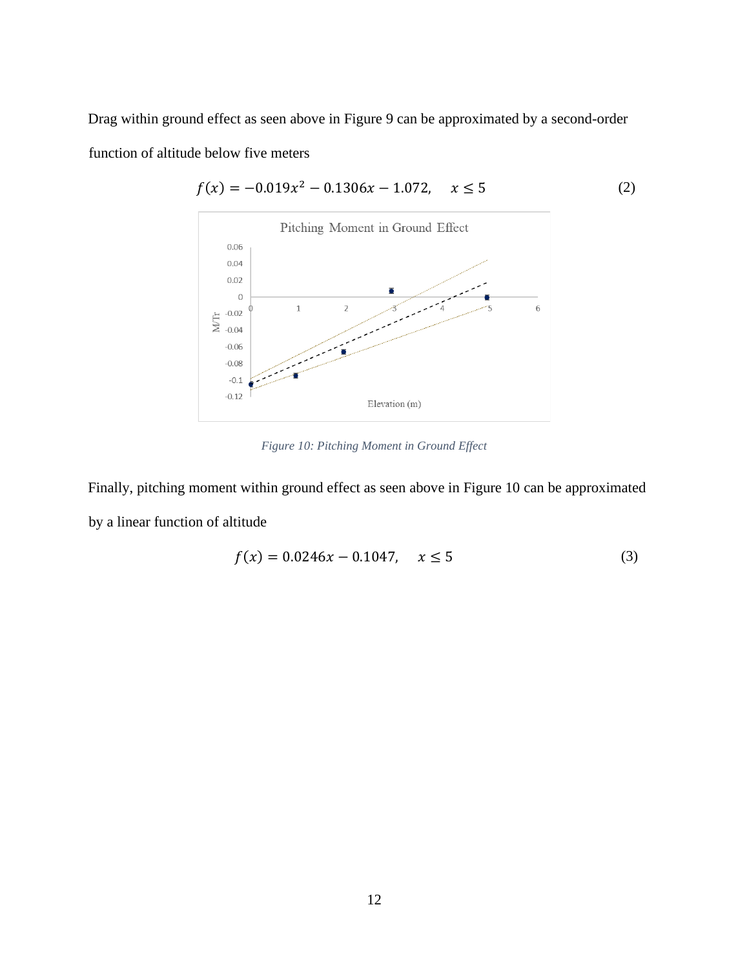Drag within ground effect as seen above in [Figure 9](#page-17-1) can be approximated by a second-order function of altitude below five meters



 $f(x) = -0.019x^2 - 0.1306x - 1.072, \quad x \le 5$  (2)

*Figure 10: Pitching Moment in Ground Effect*

<span id="page-18-0"></span>Finally, pitching moment within ground effect as seen above in [Figure 10](#page-18-0) can be approximated by a linear function of altitude

$$
f(x) = 0.0246x - 0.1047, \quad x \le 5
$$
 (3)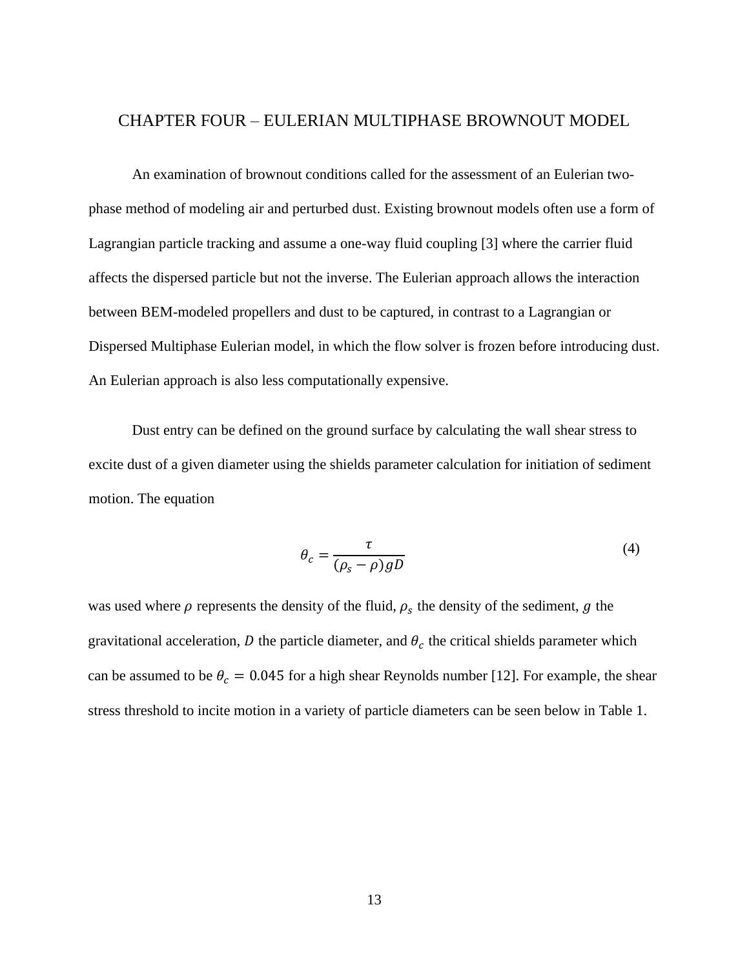#### <span id="page-19-0"></span>CHAPTER FOUR – EULERIAN MULTIPHASE BROWNOUT MODEL

An examination of brownout conditions called for the assessment of an Eulerian twophase method of modeling air and perturbed dust. Existing brownout models often use a form of Lagrangian particle tracking and assume a one-way fluid coupling [3] where the carrier fluid affects the dispersed particle but not the inverse. The Eulerian approach allows the interaction between BEM-modeled propellers and dust to be captured, in contrast to a Lagrangian or Dispersed Multiphase Eulerian model, in which the flow solver is frozen before introducing dust. An Eulerian approach is also less computationally expensive.

Dust entry can be defined on the ground surface by calculating the wall shear stress to excite dust of a given diameter using the shields parameter calculation for initiation of sediment motion. The equation

$$
\theta_c = \frac{\tau}{(\rho_s - \rho)gD} \tag{4}
$$

was used where  $\rho$  represents the density of the fluid,  $\rho_s$  the density of the sediment,  $g$  the gravitational acceleration,  $D$  the particle diameter, and  $\theta_c$  the critical shields parameter which can be assumed to be  $\theta_c = 0.045$  for a high shear Reynolds number [12]. For example, the shear stress threshold to incite motion in a variety of particle diameters can be seen below in [Table 1.](#page-20-1)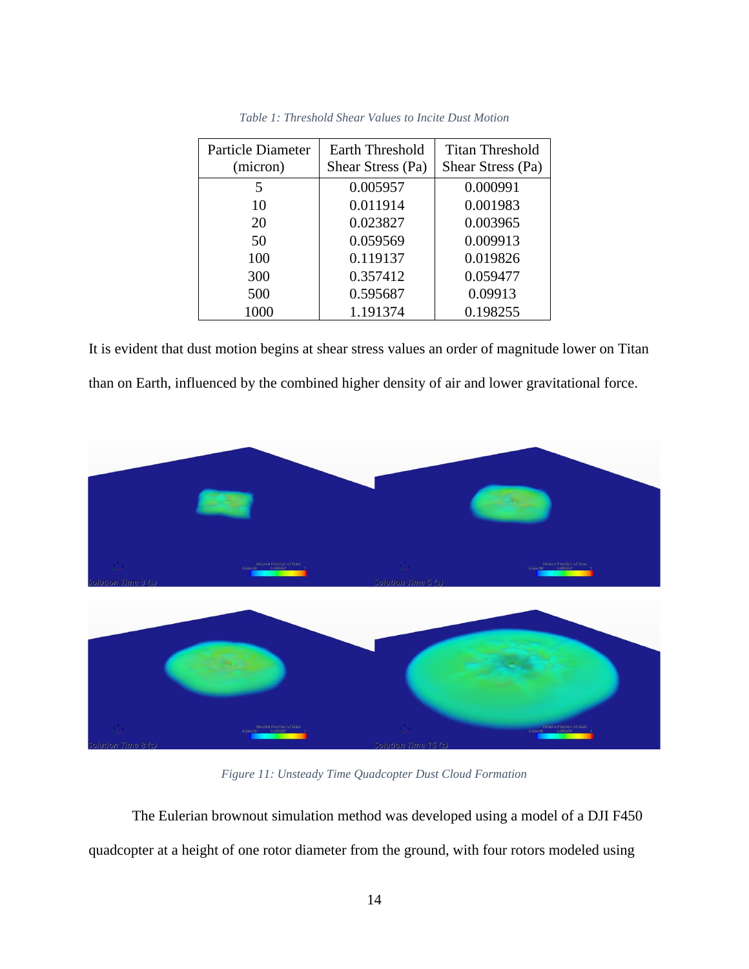<span id="page-20-1"></span>

| Particle Diameter<br>(micron) | Earth Threshold<br>Shear Stress (Pa) | Titan Threshold<br>Shear Stress (Pa) |  |
|-------------------------------|--------------------------------------|--------------------------------------|--|
| 5                             | 0.005957                             | 0.000991                             |  |
| 10                            | 0.011914                             | 0.001983                             |  |
| 20                            | 0.023827                             | 0.003965                             |  |
| 50                            | 0.059569                             | 0.009913                             |  |
| 100                           | 0.119137                             | 0.019826                             |  |
| 300                           | 0.357412                             | 0.059477                             |  |
| 500                           | 0.595687                             | 0.09913                              |  |
| 1000                          | 1.191374                             | 0.198255                             |  |

| Table 1: Threshold Shear Values to Incite Dust Motion |  |  |  |
|-------------------------------------------------------|--|--|--|
|-------------------------------------------------------|--|--|--|

It is evident that dust motion begins at shear stress values an order of magnitude lower on Titan than on Earth, influenced by the combined higher density of air and lower gravitational force.



*Figure 11: Unsteady Time Quadcopter Dust Cloud Formation*

<span id="page-20-0"></span>The Eulerian brownout simulation method was developed using a model of a DJI F450 quadcopter at a height of one rotor diameter from the ground, with four rotors modeled using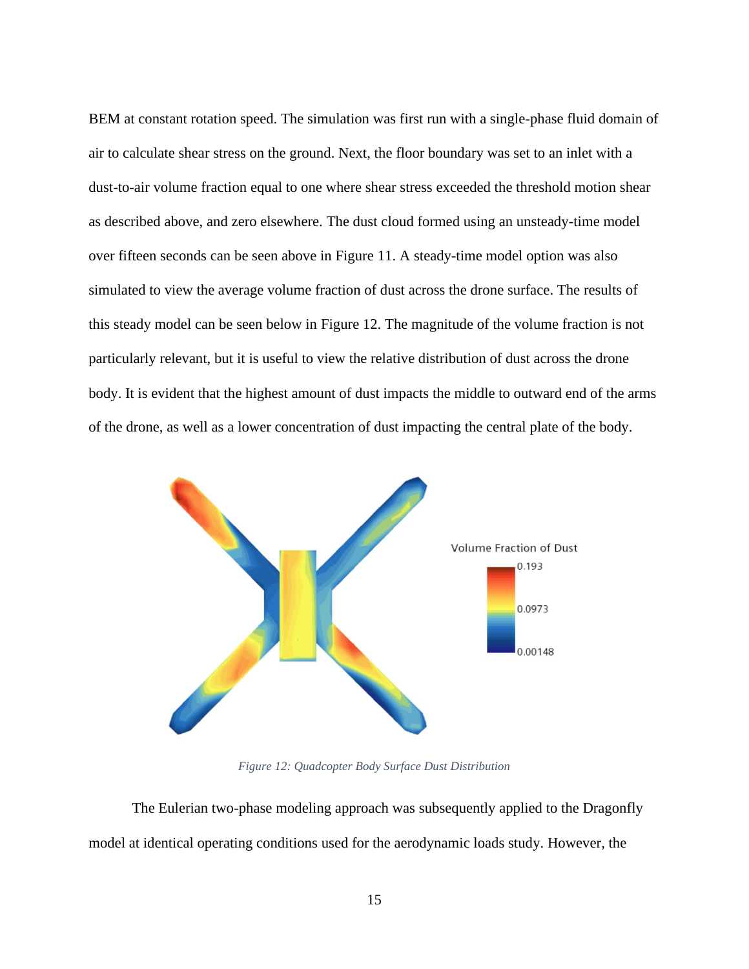BEM at constant rotation speed. The simulation was first run with a single-phase fluid domain of air to calculate shear stress on the ground. Next, the floor boundary was set to an inlet with a dust-to-air volume fraction equal to one where shear stress exceeded the threshold motion shear as described above, and zero elsewhere. The dust cloud formed using an unsteady-time model over fifteen seconds can be seen above in [Figure 11.](#page-20-0) A steady-time model option was also simulated to view the average volume fraction of dust across the drone surface. The results of this steady model can be seen below in [Figure 12.](#page-21-0) The magnitude of the volume fraction is not particularly relevant, but it is useful to view the relative distribution of dust across the drone body. It is evident that the highest amount of dust impacts the middle to outward end of the arms of the drone, as well as a lower concentration of dust impacting the central plate of the body.



*Figure 12: Quadcopter Body Surface Dust Distribution*

<span id="page-21-0"></span>The Eulerian two-phase modeling approach was subsequently applied to the Dragonfly model at identical operating conditions used for the aerodynamic loads study. However, the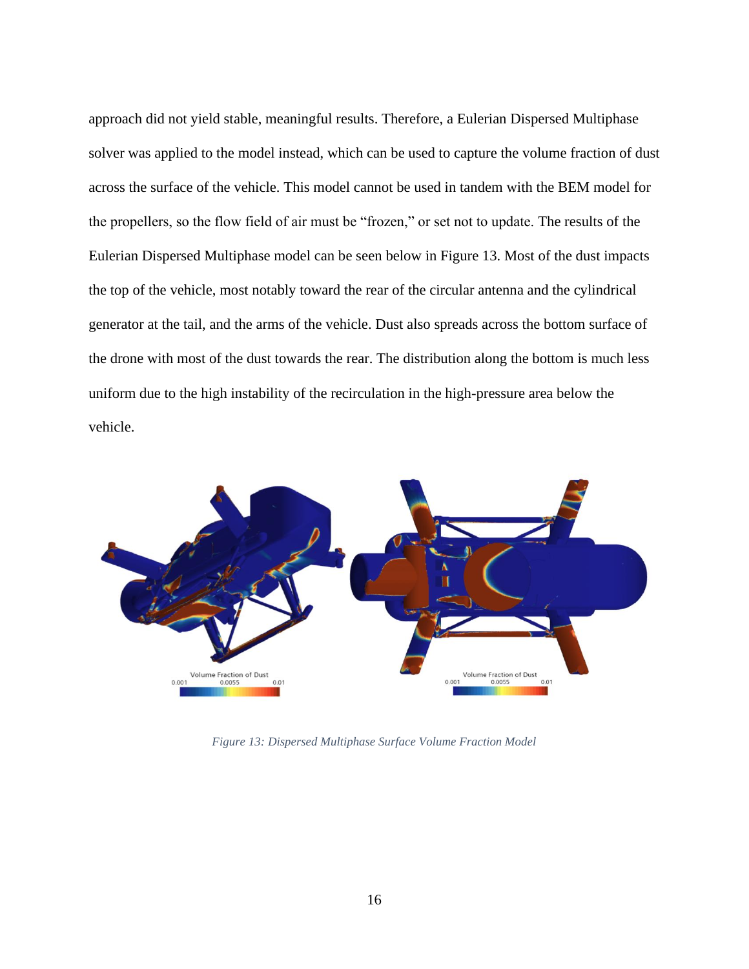approach did not yield stable, meaningful results. Therefore, a Eulerian Dispersed Multiphase solver was applied to the model instead, which can be used to capture the volume fraction of dust across the surface of the vehicle. This model cannot be used in tandem with the BEM model for the propellers, so the flow field of air must be "frozen," or set not to update. The results of the Eulerian Dispersed Multiphase model can be seen below in [Figure 13.](#page-22-0) Most of the dust impacts the top of the vehicle, most notably toward the rear of the circular antenna and the cylindrical generator at the tail, and the arms of the vehicle. Dust also spreads across the bottom surface of the drone with most of the dust towards the rear. The distribution along the bottom is much less uniform due to the high instability of the recirculation in the high-pressure area below the vehicle.



<span id="page-22-0"></span>*Figure 13: Dispersed Multiphase Surface Volume Fraction Model*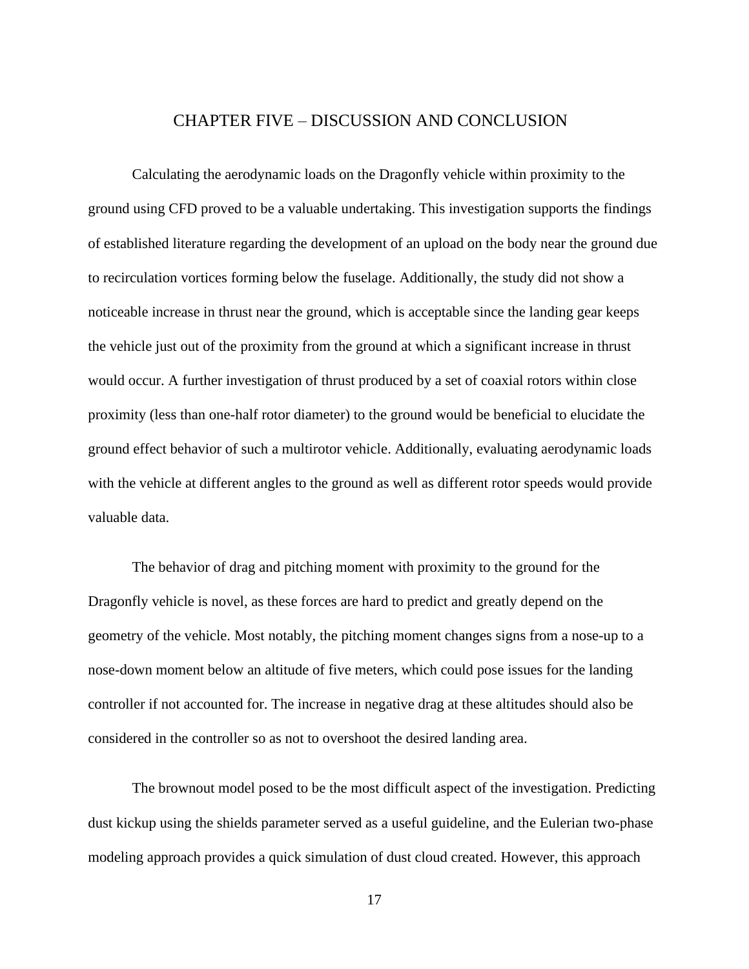#### CHAPTER FIVE – DISCUSSION AND CONCLUSION

<span id="page-23-0"></span>Calculating the aerodynamic loads on the Dragonfly vehicle within proximity to the ground using CFD proved to be a valuable undertaking. This investigation supports the findings of established literature regarding the development of an upload on the body near the ground due to recirculation vortices forming below the fuselage. Additionally, the study did not show a noticeable increase in thrust near the ground, which is acceptable since the landing gear keeps the vehicle just out of the proximity from the ground at which a significant increase in thrust would occur. A further investigation of thrust produced by a set of coaxial rotors within close proximity (less than one-half rotor diameter) to the ground would be beneficial to elucidate the ground effect behavior of such a multirotor vehicle. Additionally, evaluating aerodynamic loads with the vehicle at different angles to the ground as well as different rotor speeds would provide valuable data.

The behavior of drag and pitching moment with proximity to the ground for the Dragonfly vehicle is novel, as these forces are hard to predict and greatly depend on the geometry of the vehicle. Most notably, the pitching moment changes signs from a nose-up to a nose-down moment below an altitude of five meters, which could pose issues for the landing controller if not accounted for. The increase in negative drag at these altitudes should also be considered in the controller so as not to overshoot the desired landing area.

The brownout model posed to be the most difficult aspect of the investigation. Predicting dust kickup using the shields parameter served as a useful guideline, and the Eulerian two-phase modeling approach provides a quick simulation of dust cloud created. However, this approach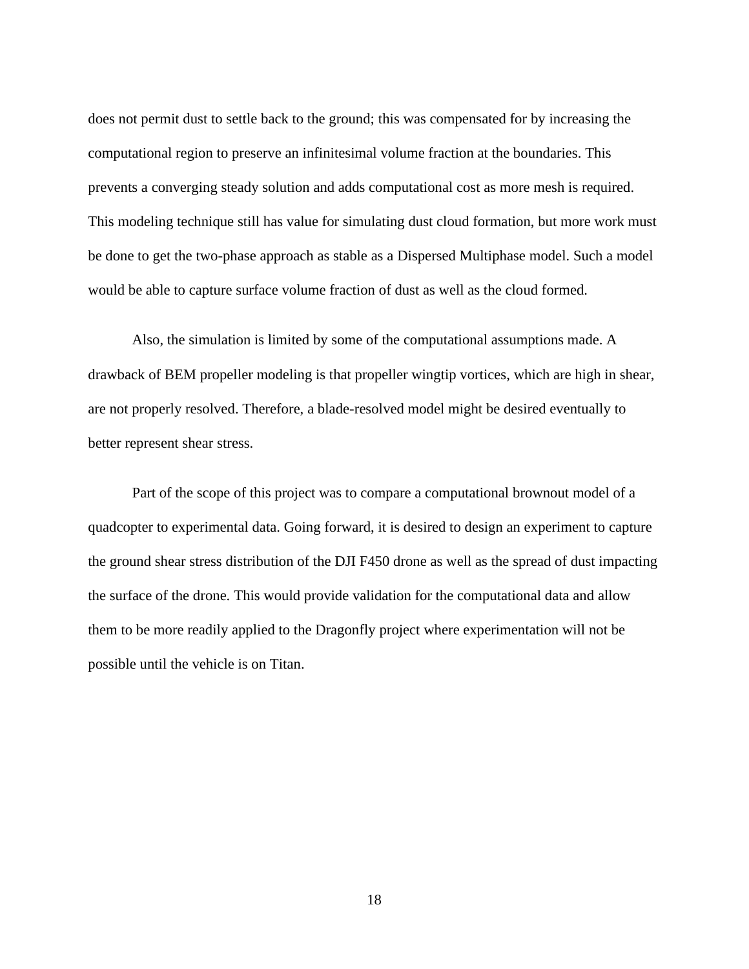does not permit dust to settle back to the ground; this was compensated for by increasing the computational region to preserve an infinitesimal volume fraction at the boundaries. This prevents a converging steady solution and adds computational cost as more mesh is required. This modeling technique still has value for simulating dust cloud formation, but more work must be done to get the two-phase approach as stable as a Dispersed Multiphase model. Such a model would be able to capture surface volume fraction of dust as well as the cloud formed.

Also, the simulation is limited by some of the computational assumptions made. A drawback of BEM propeller modeling is that propeller wingtip vortices, which are high in shear, are not properly resolved. Therefore, a blade-resolved model might be desired eventually to better represent shear stress.

Part of the scope of this project was to compare a computational brownout model of a quadcopter to experimental data. Going forward, it is desired to design an experiment to capture the ground shear stress distribution of the DJI F450 drone as well as the spread of dust impacting the surface of the drone. This would provide validation for the computational data and allow them to be more readily applied to the Dragonfly project where experimentation will not be possible until the vehicle is on Titan.

18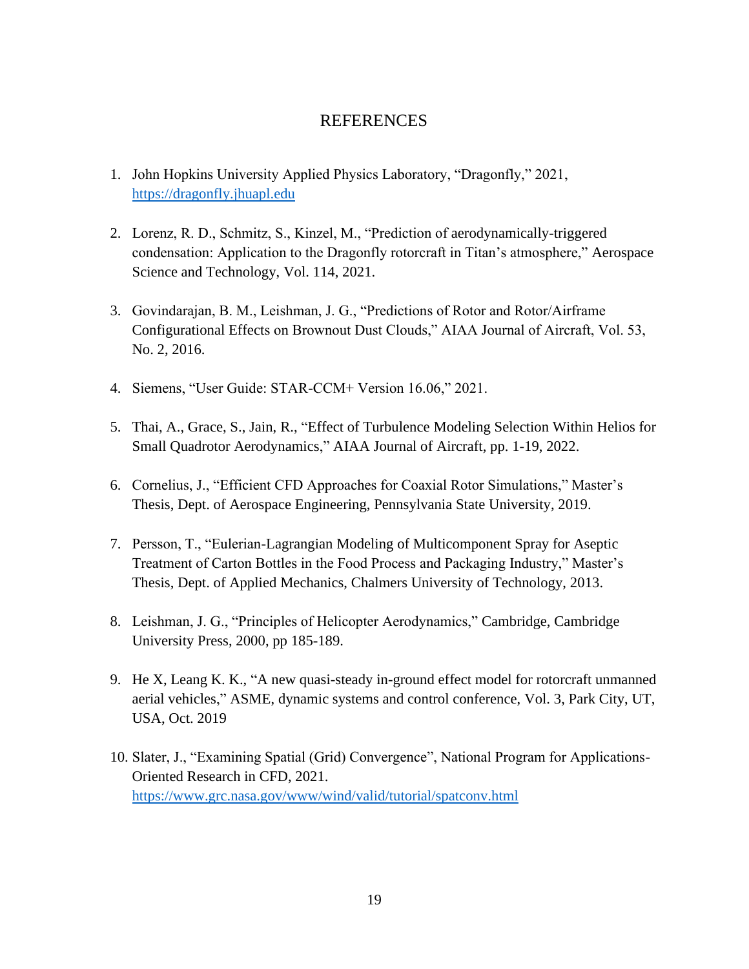### REFERENCES

- <span id="page-25-0"></span>1. John Hopkins University Applied Physics Laboratory, "Dragonfly," 2021, [https://dragonfly.jhuapl.edu](https://dragonfly.jhuapl.edu/)
- 2. Lorenz, R. D., Schmitz, S., Kinzel, M., "Prediction of aerodynamically-triggered condensation: Application to the Dragonfly rotorcraft in Titan's atmosphere," Aerospace Science and Technology, Vol. 114, 2021.
- 3. Govindarajan, B. M., Leishman, J. G., "Predictions of Rotor and Rotor/Airframe Configurational Effects on Brownout Dust Clouds," AIAA Journal of Aircraft, Vol. 53, No. 2, 2016.
- 4. Siemens, "User Guide: STAR-CCM+ Version 16.06," 2021.
- 5. Thai, A., Grace, S., Jain, R., "Effect of Turbulence Modeling Selection Within Helios for Small Quadrotor Aerodynamics," AIAA Journal of Aircraft, pp. 1-19, 2022.
- 6. Cornelius, J., "Efficient CFD Approaches for Coaxial Rotor Simulations," Master's Thesis, Dept. of Aerospace Engineering, Pennsylvania State University, 2019.
- 7. Persson, T., "Eulerian-Lagrangian Modeling of Multicomponent Spray for Aseptic Treatment of Carton Bottles in the Food Process and Packaging Industry," Master's Thesis, Dept. of Applied Mechanics, Chalmers University of Technology, 2013.
- 8. Leishman, J. G., "Principles of Helicopter Aerodynamics," Cambridge, Cambridge University Press, 2000, pp 185-189.
- 9. He X, Leang K. K., "A new quasi-steady in-ground effect model for rotorcraft unmanned aerial vehicles," ASME, dynamic systems and control conference, Vol. 3, Park City, UT, USA, Oct. 2019
- 10. Slater, J., "Examining Spatial (Grid) Convergence", National Program for Applications-Oriented Research in CFD, 2021. <https://www.grc.nasa.gov/www/wind/valid/tutorial/spatconv.html>